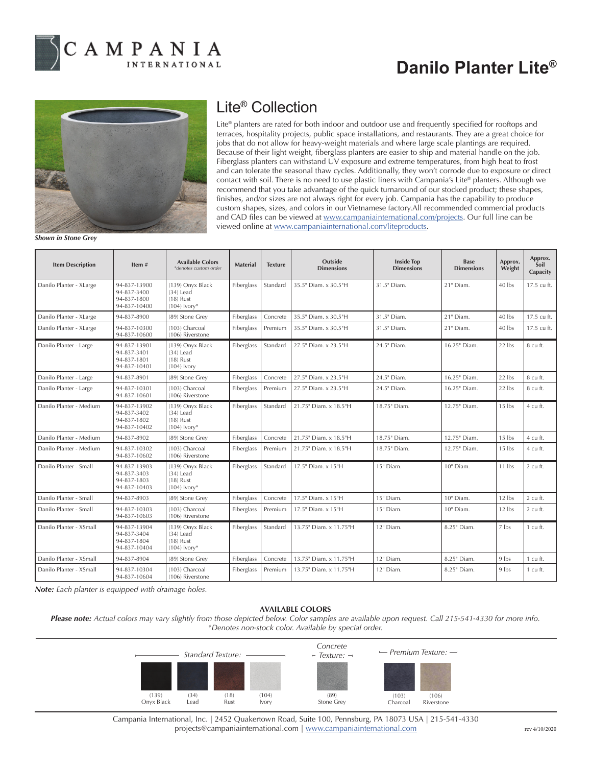

## **Danilo Planter Lite®**



## Lite® Collection

Lite® planters are rated for both indoor and outdoor use and frequently specified for rooftops and terraces, hospitality projects, public space installations, and restaurants. They are a great choice for jobs that do not allow for heavy-weight materials and where large scale plantings are required. Because of their light weight, fiberglass planters are easier to ship and material handle on the job. Fiberglass planters can withstand UV exposure and extreme temperatures, from high heat to frost and can tolerate the seasonal thaw cycles. Additionally, they won't corrode due to exposure or direct contact with soil. There is no need to use plastic liners with Campania's Lite® planters. Although we recommend that you take advantage of the quick turnaround of our stocked product; these shapes, finishes, and/or sizes are not always right for every job. Campania has the capability to produce custom shapes, sizes, and colors in our Vietnamese factory.All recommended commercial products and CAD files can be viewed at www.campaniainternational.com/projects. Our full line can be viewed online at www.campaniainternational.com/liteproducts.

*Shown in Stone Grey*

| <b>Item Description</b> | Item $#$                                                   | <b>Available Colors</b><br>*denotes custom order                 | <b>Material</b> | <b>Texture</b> | Outside<br><b>Dimensions</b> | <b>Inside Top</b><br><b>Dimensions</b> | <b>Base</b><br><b>Dimensions</b> | Approx.<br>Weight | Approx.<br>Soil<br>Capacity |
|-------------------------|------------------------------------------------------------|------------------------------------------------------------------|-----------------|----------------|------------------------------|----------------------------------------|----------------------------------|-------------------|-----------------------------|
| Danilo Planter - XLarge | 94-837-13900<br>94-837-3400<br>94-837-1800<br>94-837-10400 | (139) Onyx Black<br>$(34)$ Lead<br>$(18)$ Rust<br>$(104)$ lvorv* | Fiberglass      | Standard       | 35.5" Diam. x 30.5"H         | 31.5" Diam.                            | 21" Diam.                        | 40 lbs            | 17.5 cu ft.                 |
| Danilo Planter - XLarge | 94-837-8900                                                | (89) Stone Grey                                                  | Fiberglass      | Concrete       | 35.5" Diam. x 30.5"H         | 31.5" Diam.                            | 21" Diam.                        | 40 lbs            | 17.5 cu ft.                 |
| Danilo Planter - XLarge | 94-837-10300<br>94-837-10600                               | (103) Charcoal<br>(106) Riverstone                               | Fiberglass      | Premium        | 35.5" Diam. x 30.5"H         | 31.5" Diam.                            | 21" Diam.                        | 40 lbs            | 17.5 cu ft.                 |
| Danilo Planter - Large  | 94-837-13901<br>94-837-3401<br>94-837-1801<br>94-837-10401 | (139) Onyx Black<br>$(34)$ Lead<br>$(18)$ Rust<br>$(104)$ lyory  | Fiberglass      | Standard       | 27.5" Diam. x 23.5"H         | 24.5" Diam.                            | 16.25" Diam.                     | 22 lbs            | 8 cu ft.                    |
| Danilo Planter - Large  | 94-837-8901                                                | (89) Stone Grey                                                  | Fiberglass      | Concrete       | 27.5" Diam. x 23.5"H         | 24.5" Diam.                            | 16.25" Diam.                     | $22$ lbs          | 8 cu ft.                    |
| Danilo Planter - Large  | 94-837-10301<br>94-837-10601                               | (103) Charcoal<br>(106) Riverstone                               | Fiberglass      | Premium        | 27.5" Diam. x 23.5"H         | 24.5" Diam.                            | 16.25" Diam.                     | 22 lbs            | 8 cu ft.                    |
| Danilo Planter - Medium | 94-837-13902<br>94-837-3402<br>94-837-1802<br>94-837-10402 | (139) Onyx Black<br>$(34)$ Lead<br>$(18)$ Rust<br>$(104)$ lvory* | Fiberglass      | Standard       | 21.75" Diam. x 18.5"H        | 18.75" Diam.                           | 12.75" Diam.                     | $15$ lbs          | 4 cu ft.                    |
| Danilo Planter - Medium | 94-837-8902                                                | (89) Stone Grey                                                  | Fiberglass      | Concrete       | 21.75" Diam. x 18.5"H        | 18.75" Diam.                           | 12.75" Diam.                     | $15$ lbs          | 4 cu ft.                    |
| Danilo Planter - Medium | 94-837-10302<br>94-837-10602                               | (103) Charcoal<br>(106) Riverstone                               | Fiberglass      | Premium        | 21.75" Diam. x 18.5"H        | 18.75" Diam.                           | 12.75" Diam.                     | $15$ lbs          | 4 cu ft.                    |
| Danilo Planter - Small  | 94-837-13903<br>94-837-3403<br>94-837-1803<br>94-837-10403 | (139) Onyx Black<br>$(34)$ Lead<br>$(18)$ Rust<br>$(104)$ Ivory* | Fiberglass      | Standard       | 17.5" Diam. x 15"H           | 15" Diam.                              | 10" Diam.                        | $11$ lbs          | 2 cu ft.                    |
| Danilo Planter - Small  | 94-837-8903                                                | (89) Stone Grey                                                  | Fiberglass      | Concrete       | 17.5" Diam. x 15"H           | 15" Diam.                              | 10" Diam.                        | $12$ lbs          | 2 cu ft.                    |
| Danilo Planter - Small  | 94-837-10303<br>94-837-10603                               | (103) Charcoal<br>(106) Riverstone                               | Fiberglass      | Premium        | 17.5" Diam. x 15"H           | 15" Diam.                              | 10" Diam.                        | $12$ lbs          | 2 cu ft.                    |
| Danilo Planter - XSmall | 94-837-13904<br>94-837-3404<br>94-837-1804<br>94-837-10404 | (139) Onyx Black<br>$(34)$ Lead<br>$(18)$ Rust<br>$(104)$ lvory* | Fiberglass      | Standard       | 13.75" Diam. x 11.75"H       | 12" Diam.                              | 8.25" Diam.                      | 7 lbs             | 1 cu ft.                    |
| Danilo Planter - XSmall | 94-837-8904                                                | (89) Stone Grey                                                  | Fiberglass      | Concrete       | 13.75" Diam. x 11.75"H       | 12" Diam.                              | 8.25" Diam.                      | 9 lbs             | 1 cu ft.                    |
| Danilo Planter - XSmall | 94-837-10304<br>94-837-10604                               | (103) Charcoal<br>(106) Riverstone                               | Fiberglass      | Premium        | 13.75" Diam. x 11.75"H       | 12" Diam.                              | 8.25" Diam.                      | $9$ lbs           | 1 cu ft.                    |

*Note: Each planter is equipped with drainage holes.*

## **AVAILABLE COLORS**

*Please note: Actual colors may vary slightly from those depicted below. Color samples are available upon request. Call 215-541-4330 for more info. \*Denotes non-stock color. Available by special order.*



Campania International, Inc. | 2452 Quakertown Road, Suite 100, Pennsburg, PA 18073 USA | 215-541-4330 projects@campaniainternational.com | www.campaniainternational.com